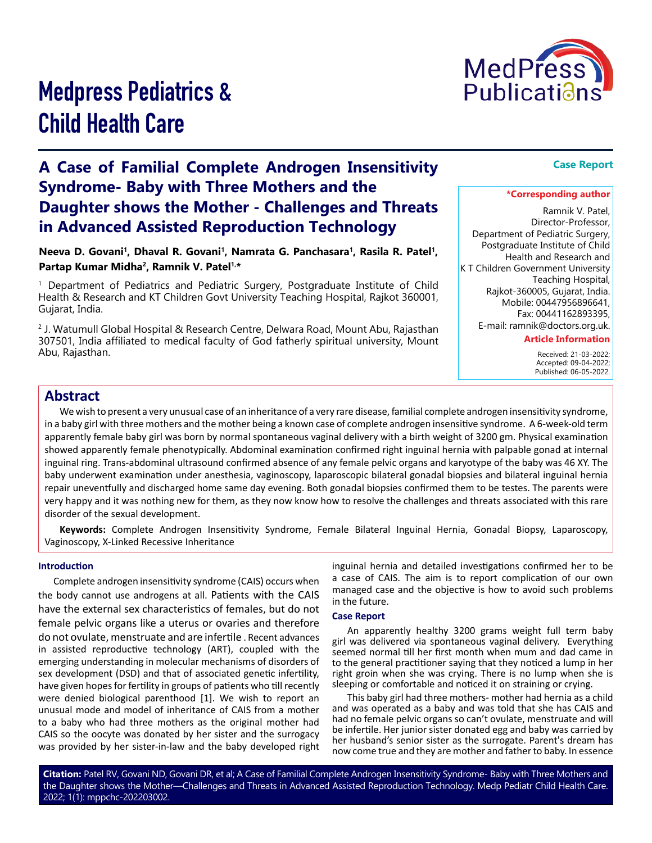

# Medpress Pediatrics & Child Health Care

# **A Case of Familial Complete Androgen Insensitivity Syndrome- Baby with Three Mothers and the Daughter shows the Mother - Challenges and Threats in Advanced Assisted Reproduction Technology**

Neeva D. Govani<sup>1</sup>, Dhaval R. Govani<sup>1</sup>, Namrata G. Panchasara<sup>1</sup>, Rasila R. Patel<sup>1</sup>, **Partap Kumar Midha2, Ramnik V. Patel1,\***

1 Department of Pediatrics and Pediatric Surgery, Postgraduate Institute of Child Health & Research and KT Children Govt University Teaching Hospital, Rajkot 360001, Gujarat, India.

2 J. Watumull Global Hospital & Research Centre, Delwara Road, Mount Abu, Rajasthan 307501, India affiliated to medical faculty of God fatherly spiritual university, Mount Abu, Rajasthan.

# **Case Report**

#### **\*Corresponding author**

Ramnik V. Patel, Director-Professor, Department of Pediatric Surgery, Postgraduate Institute of Child Health and Research and K T Children Government University Teaching Hospital, Rajkot-360005, Gujarat, India. Mobile: 00447956896641, Fax: 00441162893395, E-mail: ramnik@doctors.org.uk.

#### **Article Information**

 Received: 21-03-2022; Accepted: 09-04-2022; Published: 06-05-2022.

# **Abstract**

We wish to present a very unusual case of an inheritance of a very rare disease, familial complete androgen insensitivity syndrome, in a baby girl with three mothers and the mother being a known case of complete androgen insensitive syndrome. A 6-week-old term apparently female baby girl was born by normal spontaneous vaginal delivery with a birth weight of 3200 gm. Physical examination showed apparently female phenotypically. Abdominal examination confirmed right inguinal hernia with palpable gonad at internal inguinal ring. Trans-abdominal ultrasound confirmed absence of any female pelvic organs and karyotype of the baby was 46 XY. The baby underwent examination under anesthesia, vaginoscopy, laparoscopic bilateral gonadal biopsies and bilateral inguinal hernia repair uneventfully and discharged home same day evening. Both gonadal biopsies confirmed them to be testes. The parents were very happy and it was nothing new for them, as they now know how to resolve the challenges and threats associated with this rare disorder of the sexual development.

**Keywords:** Complete Androgen Insensitivity Syndrome, Female Bilateral Inguinal Hernia, Gonadal Biopsy, Laparoscopy, Vaginoscopy, X-Linked Recessive Inheritance

#### **Introduction**

Complete androgen insensitivity syndrome (CAIS) occurs when the body cannot use androgens at all. Patients with the CAIS have the external sex characteristics of females, but do not female pelvic organs like a uterus or ovaries and therefore do not ovulate, menstruate and are infertile . Recent advances in assisted reproductive technology (ART), coupled with the emerging understanding in molecular mechanisms of disorders of sex development (DSD) and that of associated genetic infertility, have given hopes for fertility in groups of patients who till recently were denied biological parenthood [1]. We wish to report an unusual mode and model of inheritance of CAIS from a mother to a baby who had three mothers as the original mother had CAIS so the oocyte was donated by her sister and the surrogacy was provided by her sister-in-law and the baby developed right

inguinal hernia and detailed investigations confirmed her to be a case of CAIS. The aim is to report complication of our own managed case and the objective is how to avoid such problems in the future.

#### **Case Report**

An apparently healthy 3200 grams weight full term baby girl was delivered via spontaneous vaginal delivery. Everything seemed normal till her first month when mum and dad came in to the general practitioner saying that they noticed a lump in her right groin when she was crying. There is no lump when she is sleeping or comfortable and noticed it on straining or crying.

This baby girl had three mothers- mother had hernia as a child and was operated as a baby and was told that she has CAIS and had no female pelvic organs so can't ovulate, menstruate and will be infertile. Her junior sister donated egg and baby was carried by her husband's senior sister as the surrogate. Parent's dream has now come true and they are mother and father to baby. In essence

**Citation:** Patel RV, Govani ND, Govani DR, et al; A Case of Familial Complete Androgen Insensitivity Syndrome- Baby with Three Mothers and the Daughter shows the Mother—Challenges and Threats in Advanced Assisted Reproduction Technology. Medp Pediatr Child Health Care. 2022; 1(1): mppchc-202203002.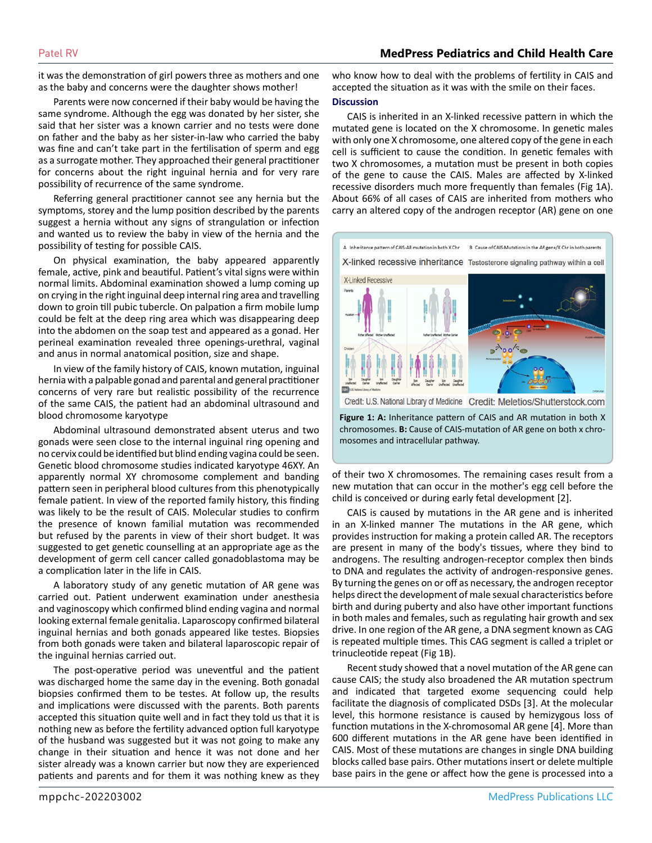# Patel RV **MedPress Pediatrics and Child Health Care**

it was the demonstration of girl powers three as mothers and one as the baby and concerns were the daughter shows mother!

Parents were now concerned if their baby would be having the same syndrome. Although the egg was donated by her sister, she said that her sister was a known carrier and no tests were done on father and the baby as her sister-in-law who carried the baby was fine and can't take part in the fertilisation of sperm and egg as a surrogate mother. They approached their general practitioner for concerns about the right inguinal hernia and for very rare possibility of recurrence of the same syndrome.

Referring general practitioner cannot see any hernia but the symptoms, storey and the lump position described by the parents suggest a hernia without any signs of strangulation or infection and wanted us to review the baby in view of the hernia and the possibility of testing for possible CAIS.

On physical examination, the baby appeared apparently female, active, pink and beautiful. Patient's vital signs were within normal limits. Abdominal examination showed a lump coming up on crying in the right inguinal deep internal ring area and travelling down to groin till pubic tubercle. On palpation a firm mobile lump could be felt at the deep ring area which was disappearing deep into the abdomen on the soap test and appeared as a gonad. Her perineal examination revealed three openings-urethral, vaginal and anus in normal anatomical position, size and shape.

In view of the family history of CAIS, known mutation, inguinal hernia with a palpable gonad and parental and general practitioner concerns of very rare but realistic possibility of the recurrence of the same CAIS, the patient had an abdominal ultrasound and blood chromosome karyotype

Abdominal ultrasound demonstrated absent uterus and two gonads were seen close to the internal inguinal ring opening and no cervix could be identified but blind ending vagina could be seen. Genetic blood chromosome studies indicated karyotype 46XY. An apparently normal XY chromosome complement and banding pattern seen in peripheral blood cultures from this phenotypically female patient. In view of the reported family history, this finding was likely to be the result of CAIS. Molecular studies to confirm the presence of known familial mutation was recommended but refused by the parents in view of their short budget. It was suggested to get genetic counselling at an appropriate age as the development of germ cell cancer called gonadoblastoma may be a complication later in the life in CAIS.

A laboratory study of any genetic mutation of AR gene was carried out. Patient underwent examination under anesthesia and vaginoscopy which confirmed blind ending vagina and normal looking external female genitalia. Laparoscopy confirmed bilateral inguinal hernias and both gonads appeared like testes. Biopsies from both gonads were taken and bilateral laparoscopic repair of the inguinal hernias carried out.

The post-operative period was uneventful and the patient was discharged home the same day in the evening. Both gonadal biopsies confirmed them to be testes. At follow up, the results and implications were discussed with the parents. Both parents accepted this situation quite well and in fact they told us that it is nothing new as before the fertility advanced option full karyotype of the husband was suggested but it was not going to make any change in their situation and hence it was not done and her sister already was a known carrier but now they are experienced patients and parents and for them it was nothing knew as they

who know how to deal with the problems of fertility in CAIS and accepted the situation as it was with the smile on their faces.

#### **Discussion**

CAIS is inherited in an X-linked recessive pattern in which the mutated gene is located on the X chromosome. In genetic males with only one X chromosome, one altered copy of the gene in each cell is sufficient to cause the condition. In genetic females with two X chromosomes, a mutation must be present in both copies of the gene to cause the CAIS. Males are affected by X-linked recessive disorders much more frequently than females (Fig 1A). About 66% of all cases of CAIS are inherited from mothers who carry an altered copy of the androgen receptor (AR) gene on one



**Figure 1: A:** Inheritance pattern of CAIS and AR mutation in both X chromosomes. **B:** Cause of CAIS-mutation of AR gene on both x chromosomes and intracellular pathway.

of their two X chromosomes. The remaining cases result from a new mutation that can occur in the mother's egg cell before the child is conceived or during early fetal development [2].

CAIS is caused by mutations in the AR gene and is inherited in an X-linked manner The mutations in the AR gene, which provides instruction for making a protein called AR. The receptors are present in many of the body's tissues, where they bind to androgens. The resulting androgen-receptor complex then binds to DNA and regulates the activity of androgen-responsive genes. By turning the genes on or off as necessary, the androgen receptor helps direct the development of male sexual characteristics before birth and during puberty and also have other important functions in both males and females, such as regulating hair growth and sex drive. In one region of the AR gene, a DNA segment known as CAG is repeated multiple times. This CAG segment is called a triplet or trinucleotide repeat (Fig 1B).

Recent study showed that a novel mutation of the AR gene can cause CAIS; the study also broadened the AR mutation spectrum and indicated that targeted exome sequencing could help facilitate the diagnosis of complicated DSDs [3]. At the molecular level, this hormone resistance is caused by hemizygous loss of function mutations in the X-chromosomal AR gene [4]. More than 600 different mutations in the AR gene have been identified in CAIS. Most of these mutations are changes in single DNA building blocks called base pairs. Other mutations insert or delete multiple base pairs in the gene or affect how the gene is processed into a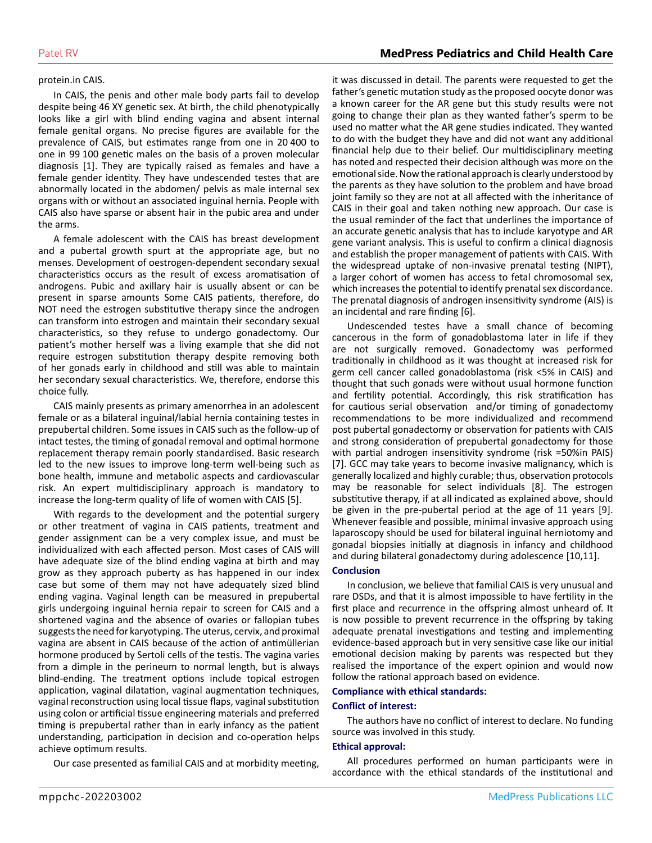#### protein.in CAIS.

In CAIS, the penis and other male body parts fail to develop despite being 46 XY genetic sex. At birth, the child phenotypically looks like a girl with blind ending vagina and absent internal female genital organs. No precise figures are available for the prevalence of CAIS, but estimates range from one in 20 400 to one in 99 100 genetic males on the basis of a proven molecular diagnosis [1]. They are typically raised as females and have a female gender identity. They have undescended testes that are abnormally located in the abdomen/ pelvis as male internal sex organs with or without an associated inguinal hernia. People with CAIS also have sparse or absent hair in the pubic area and under the arms.

A female adolescent with the CAIS has breast development and a pubertal growth spurt at the appropriate age, but no menses. Development of oestrogen-dependent secondary sexual characteristics occurs as the result of excess aromatisation of androgens. Pubic and axillary hair is usually absent or can be present in sparse amounts Some CAIS patients, therefore, do NOT need the estrogen substitutive therapy since the androgen can transform into estrogen and maintain their secondary sexual characteristics, so they refuse to undergo gonadectomy. Our patient's mother herself was a living example that she did not require estrogen substitution therapy despite removing both of her gonads early in childhood and still was able to maintain her secondary sexual characteristics. We, therefore, endorse this choice fully.

CAIS mainly presents as primary amenorrhea in an adolescent female or as a bilateral inguinal/labial hernia containing testes in prepubertal children. Some issues in CAIS such as the follow-up of intact testes, the timing of gonadal removal and optimal hormone replacement therapy remain poorly standardised. Basic research led to the new issues to improve long-term well-being such as bone health, immune and metabolic aspects and cardiovascular risk. An expert multidisciplinary approach is mandatory to increase the long-term quality of life of women with CAIS [5].

With regards to the development and the potential surgery or other treatment of vagina in CAIS patients, treatment and gender assignment can be a very complex issue, and must be individualized with each affected person. Most cases of CAIS will have adequate size of the blind ending vagina at birth and may grow as they approach puberty as has happened in our index case but some of them may not have adequately sized blind ending vagina. Vaginal length can be measured in prepubertal girls undergoing inguinal hernia repair to screen for CAIS and a shortened vagina and the absence of ovaries or fallopian tubes suggests the need for karyotyping. The uterus, cervix, and proximal vagina are absent in CAIS because of the action of antimüllerian hormone produced by Sertoli cells of the testis. The vagina varies from a dimple in the perineum to normal length, but is always blind-ending. The treatment options include topical estrogen application, vaginal dilatation, vaginal augmentation techniques, vaginal reconstruction using local tissue flaps, vaginal substitution using colon or artificial tissue engineering materials and preferred timing is prepubertal rather than in early infancy as the patient understanding, participation in decision and co-operation helps achieve optimum results.

Our case presented as familial CAIS and at morbidity meeting,

it was discussed in detail. The parents were requested to get the father's genetic mutation study as the proposed oocyte donor was a known career for the AR gene but this study results were not going to change their plan as they wanted father's sperm to be used no matter what the AR gene studies indicated. They wanted to do with the budget they have and did not want any additional financial help due to their belief. Our multidisciplinary meeting has noted and respected their decision although was more on the emotional side. Now the rational approach is clearly understood by the parents as they have solution to the problem and have broad joint family so they are not at all affected with the inheritance of CAIS in their goal and taken nothing new approach. Our case is the usual reminder of the fact that underlines the importance of an accurate genetic analysis that has to include karyotype and AR gene variant analysis. This is useful to confirm a clinical diagnosis and establish the proper management of patients with CAIS. With the widespread uptake of non-invasive prenatal testing (NIPT), a larger cohort of women has access to fetal chromosomal sex, which increases the potential to identify prenatal sex discordance. The prenatal diagnosis of androgen insensitivity syndrome (AIS) is an incidental and rare finding [6].

Undescended testes have a small chance of becoming cancerous in the form of gonadoblastoma later in life if they are not surgically removed. Gonadectomy was performed traditionally in childhood as it was thought at increased risk for germ cell cancer called gonadoblastoma (risk <5% in CAIS) and thought that such gonads were without usual hormone function and fertility potential. Accordingly, this risk stratification has for cautious serial observation and/or timing of gonadectomy recommendations to be more individualized and recommend post pubertal gonadectomy or observation for patients with CAIS and strong consideration of prepubertal gonadectomy for those with partial androgen insensitivity syndrome (risk =50%in PAIS) [7]. GCC may take years to become invasive malignancy, which is generally localized and highly curable; thus, observation protocols may be reasonable for select individuals [8]. The estrogen substitutive therapy, if at all indicated as explained above, should be given in the pre-pubertal period at the age of 11 years [9]. Whenever feasible and possible, minimal invasive approach using laparoscopy should be used for bilateral inguinal herniotomy and gonadal biopsies initially at diagnosis in infancy and childhood and during bilateral gonadectomy during adolescence [10,11].

#### **Conclusion**

In conclusion, we believe that familial CAIS is very unusual and rare DSDs, and that it is almost impossible to have fertility in the first place and recurrence in the offspring almost unheard of. It is now possible to prevent recurrence in the offspring by taking adequate prenatal investigations and testing and implementing evidence-based approach but in very sensitive case like our initial emotional decision making by parents was respected but they realised the importance of the expert opinion and would now follow the rational approach based on evidence.

#### **Compliance with ethical standards:**

#### **Conflict of interest:**

The authors have no conflict of interest to declare. No funding source was involved in this study.

#### **Ethical approval:**

All procedures performed on human participants were in accordance with the ethical standards of the institutional and